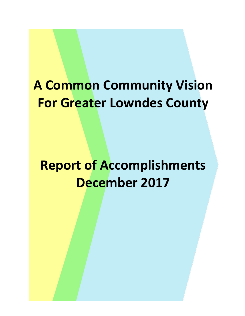# **A Common Community Vision For Greater Lowndes County**

**Report of Accomplishments December 2017**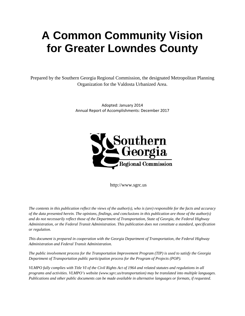# **A Common Community Vision for Greater Lowndes County**

Prepared by the Southern Georgia Regional Commission, the designated Metropolitan Planning Organization for the Valdosta Urbanized Area.

> Adopted: January 2014 Annual Report of Accomplishments: December 2017



http://www.sgrc.us

*The contents in this publication reflect the views of the author(s), who is (are) responsible for the facts and accuracy of the data presented herein. The opinions, findings, and conclusions in this publication are those of the author(s) and do not necessarily reflect those of the Department of Transportation, State of Georgia, the Federal Highway Administration, or the Federal Transit Administration. This publication does not constitute a standard, specification or regulation.* 

*This document is prepared in cooperation with the Georgia Department of Transportation, the Federal Highway Administration and Federal Transit Administration.* 

*The public involvement process for the Transportation Improvement Program (TIP) is used to satisfy the Georgia Department of Transportation public participation process for the Program of Projects (POP).* 

*VLMPO fully complies with Title VI of the Civil Rights Act of 1964 and related statutes and regulations in all programs and activities. VLMPO's website (www.sgrc.us/transportation) may be translated into multiple languages. Publications and other public documents can be made available in alternative languages or formats, if requested.*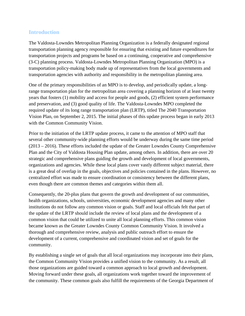#### **Introduction**

The Valdosta-Lowndes Metropolitan Planning Organization is a federally designated regional transportation planning agency responsible for ensuring that existing and future expenditures for transportation projects and programs be based on a continuing, cooperative and comprehensive (3-C) planning process. Valdosta-Lowndes Metropolitan Planning Organization (MPO) is a transportation policy-making body made up of representatives from the local governments and transportation agencies with authority and responsibility in the metropolitan planning area.

One of the primary responsibilities of an MPO is to develop, and periodically update, a longrange transportation plan for the metropolitan area covering a planning horizon of at least twenty years that fosters (1) mobility and access for people and goods, (2) efficient system performance and preservation, and (3) good quality of life. The Valdosta-Lowndes MPO completed the required update of its long range transportation plan (LRTP), titled The 2040 Transportation Vision Plan, on September 2, 2015. The initial phases of this update process began in early 2013 with the Common Community Vision.

Prior to the initiation of the LRTP update process, it came to the attention of MPO staff that several other community-wide planning efforts would be underway during the same time period (2013 – 2016). These efforts included the update of the Greater Lowndes County Comprehensive Plan and the City of Valdosta Housing Plan update, among others. In addition, there are over 20 strategic and comprehensive plans guiding the growth and development of local governments, organizations and agencies. While these local plans cover vastly different subject material, there is a great deal of overlap in the goals, objectives and policies contained in the plans. However, no centralized effort was made to ensure coordination or consistency between the different plans, even though there are common themes and categories within them all.

Consequently, the 20-plus plans that govern the growth and development of our communities, health organizations, schools, universities, economic development agencies and many other institutions do not follow any common vision or goals. Staff and local officials felt that part of the update of the LRTP should include the review of local plans and the development of a common vision that could be utilized to unite all local planning efforts. This common vision became known as the Greater Lowndes County Common Community Vision. It involved a thorough and comprehensive review, analysis and public outreach effort to ensure the development of a current, comprehensive and coordinated vision and set of goals for the community.

By establishing a single set of goals that all local organizations may incorporate into their plans, the Common Community Vision provides a unified vision to the community. As a result, all those organizations are guided toward a common approach to local growth and development. Moving forward under these goals, all organizations work together toward the improvement of the community. These common goals also fulfill the requirements of the Georgia Department of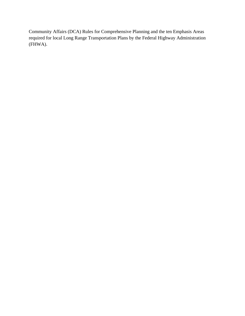Community Affairs (DCA) Rules for Comprehensive Planning and the ten Emphasis Areas required for local Long Range Transportation Plans by the Federal Highway Administration (FHWA).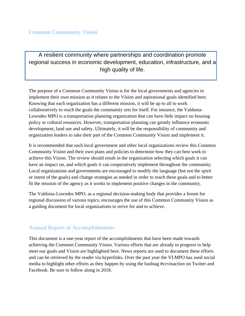A resilient community where partnerships and coordination promote regional success in economic development, education, infrastructure, and a high quality of life.

The purpose of a Common Community Vision is for the local governments and agencies to implement their own mission as it relates to the Vision and aspirational goals identified here. Knowing that each organization has a different mission, it will be up to all to work collaboratively to reach the goals the community sets for itself. For instance, the Valdosta-Lowndes MPO is a transportation planning organization that can have little impact on housing policy or cultural resources. However, transportation planning can greatly influence economic development, land use and safety. Ultimately, it will be the responsibility of community and organization leaders to take their part of the Common Community Vision and implement it.

It is recommended that each local government and other local organizations review this Common Community Vision and their own plans and policies to determine how they can best work to achieve this Vision. The review should result in the organization selecting which goals it can have an impact on, and which goals it can cooperatively implement throughout the community. Local organizations and governments are encouraged to modify the language (but not the spirit or intent of the goals) and change strategies as needed in order to reach these goals and to better fit the mission of the agency as it works to implement positive changes in the community.

The Valdosta-Lowndes MPO, as a regional decision-making body that provides a forum for regional discussion of various topics, encourages the use of this Common Community Vision as a guiding document for local organizations to strive for and to achieve.

### **Annual Report of Accomplishments**

This document is a one-year report of the accomplishments that have been made towards achieving the Common Community Vision. Various efforts that are already in progress to help meet our goals and Vision are highlighted here. News reports are used to document these efforts and can be retrieved by the reader via hyperlinks. Over the past year the VLMPO has used social media to highlight other efforts as they happen by using the hashtag #ccvinaction on Twitter and Facebook. Be sure to follow along in 2018.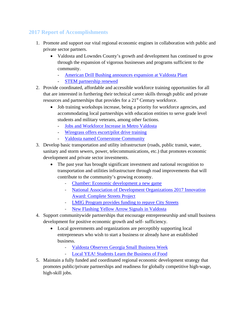## **2017 Report of Accomplishments**

- 1. Promote and support our vital regional economic engines in collaboration with public and private sector partners.
	- Valdosta and Lowndes County's growth and development has continued to grow through the expansion of vigorous businesses and programs sufficient to the community.
		- [American Drill Bushing announces expansion at Valdosta Plant](http://valdostatoday.com/2017/12/american-drill-bushing-announces-expansion-at-valdosta-plant/)
		- [STEM partnership renewed](http://www.valdostadailytimes.com/news/local_news/stem-partnership-renewed/article_8732b480-e3d9-580b-97d3-1bc3525a6674.html)
- 2. Provide coordinated, affordable and accessible workforce training opportunities for all that are interested in furthering their technical career skills through public and private resources and partnerships that provides for a 21<sup>st</sup> Century workforce.
	- Job training workshops increase, being a priority for workforce agencies, and accommodating local partnerships with education entities to serve grade level students and military veterans, among other factions.
		- [Jobs and Workforce Increase in Metro Valdosta](http://www.valdostacity.com/jobs-and-workforce-increase-in-metro-valdosta)
		- [Wiregrass offers escort/pilot drive training](http://www.valdostadailytimes.com/news/local_news/wiregrass-offers-escort-pilot-driver-training/article_9fd1acd5-d12e-5d48-b03e-ceb1f673cdd9.html)
		- Valdosta named [Cornerstone](http://www.walb.com/story/33808844/valdosta-named-cornerstone-community) Community
- 3. Develop basic transportation and utility infrastructure (roads, public transit, water, sanitary and storm sewers, power, telecommunications, etc.) that promotes economic development and private sector investments.
	- The past year has brought significant investment and national recognition to transportation and utilities infrastructure through road improvements that will contribute to the community's growing economy.
		- [Chamber: Economic development a new game](http://www.valdostadailytimes.com/news/local_news/chamber-economic-development-a-new-game/article_26be0f5f-736e-5705-950f-6bc2bea1c8ae.html)
		- [National Association of Development Organizations 2017 Innovation](https://www.nado.org/congratulations-to-the-2017-nado-innovation-award-winners/)  [Award: Complete Streets Project](https://www.nado.org/congratulations-to-the-2017-nado-innovation-award-winners/)
		- [LMIG Program provides funding to repave City Streets](http://www.valdostacity.com/lmig-program-provides-funding-to-repave-city-streets)
		- [New Flashing Yellow Arrow Signals in Valdosta](http://www.valdostacity.com/new-flashing-yellow-arrow-signals-in-valdosta)
- 4. Support communitywide partnerships that encourage entrepreneurship and small business development for positive economic growth and self- sufficiency.
	- Local governments and organizations are perceptibly supporting local entrepreneurs who wish to start a business or already have an established business.
		- [Valdosta Observes Georgia Small Business Week](http://www.valdostacity.com/valdosta-observes-georgia-small-business-week)
		- [Local YEA! Students Learn the Business of Food](http://valdostaceo.com/features/2017/11/yea-students-learn-business-food/)
- 5. Maintain a fully funded and coordinated regional economic development strategy that promotes public/private partnerships and readiness for globally competitive high-wage, high-skill jobs.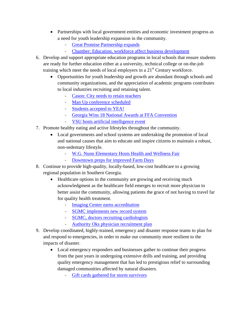- Partnerships with local government entities and economic investment progress as a need for youth leadership expansion in the community.
	- [Great Promise Partnership expands](http://www.valdostadailytimes.com/news/local_news/great-promise-partnership-expands/article_a49f23c1-4b75-5a53-a612-a3ddfdca03b6.html)
	- [Chamber: Education, workforce affect business development](http://www.valdostadailytimes.com/news/local_news/chamber-education-workforce-affect-business-development/article_6101899b-8037-5726-b068-3e362f7bd4ca.html)
- 6. Develop and support appropriate education programs in local schools that ensure students are ready for further education either at a university, technical college or on-the-job training which meet the needs of local employers in a  $21<sup>st</sup>$  Century workforce.
	- Opportunities for youth leadership and growth are abundant through schools and community organizations, and the appreciation of academic programs contributes to local industries recruiting and retaining talent.
		- [Cason: City needs to retain teachers](http://www.valdostadailytimes.com/news/local_news/cason-city-needs-to-retain-teachers/article_90b45a00-d16b-5a02-8a7a-5d9c86028603.html)
		- [Man Up conference scheduled](http://www.valdostadailytimes.com/news/local_news/man-up-conference-scheduled/article_9fde4a76-9043-5739-b5c8-585d534ec915.html)
		- [Students accepted to YEA!](http://www.valdostadailytimes.com/news/local_news/students-accepted-to-yea/article_232597b0-9d0b-5006-b075-e69c8e54aa54.html)
		- [Georgia Wins 18 National Awards at FFA Convention](http://valdostaceo.com/news/2017/11/georgia-wins-18-national-awards-ffa-convention/)
		- [VSU hosts artificial intelligence event](http://www.valdostadailytimes.com/news/local_news/vsu-hosts-artificial-intelligence-event/article_8bd36174-4797-5480-97fe-cec472157589.html)
- 7. Promote healthy eating and active lifestyles throughout the community.
	- Local governments and school systems are undertaking the promotion of local and national causes that aim to educate and inspire citizens to maintain a robust, non-sedentary lifestyle.
		- [W.G. Nunn Elementary Hosts Health and Wellness Fair](http://www.gocats.org/apps/news/article/704311)
		- [Downtown preps for improved Farm Days](http://www.valdostadailytimes.com/news/local_news/downtown-preps-for-improved-farm-days/article_8c4750be-508e-5eb1-900a-fc9a648059ff.html)
- 8. Continue to provide high-quality, locally-based, low-cost healthcare to a growing regional population in Southern Georgia.
	- Healthcare options in the community are growing and receiving much acknowledgment as the healthcare field emerges to recruit more physician to better assist the community, allowing patients the grace of not having to travel far for quality health treatment.
		- **[Imaging Center earns accreditation](http://www.valdostadailytimes.com/news/local_news/imaging-center-earns-accreditation/article_5d2a2f7d-ba26-5d20-9229-9eb15d02f238.html)**
		- [SGMC implements new record system](http://www.valdostadailytimes.com/news/local_news/sgmc-implements-new-record-system/article_d4d4d95a-b026-537a-a6f3-8e698b0a7dad.html)
		- [SGMC, doctors recruiting cardiologists](http://www.valdostadailytimes.com/news/local_news/sgmc-doctors-recruiting-cardiologists/article_5c80f241-b28b-5bf9-aa61-8c0dfc53de60.html)
			- [Authority Oks physician recruitment plan](http://www.valdostadailytimes.com/news/local_news/authority-oks-physician-recruitment-plan/article_48331eb1-9543-5070-ba9c-3b42c9901c89.html)
- 9. Develop coordinated, highly-trained, emergency and disaster response teams to plan for and respond to emergencies, in order to make our community more resilient to the impacts of disaster.
	- Local emergency responders and businesses gather to continue their progress from the past years in undergoing extensive drills and training, and providing quality emergency management that has led to prestigious relief to surrounding damaged communities affected by natural disasters.
		- [Gift cards gathered for storm survivors](http://www.valdostadailytimes.com/news/local_news/gift-cards-gathered-for-storm-survivors/article_c4de70c8-9be3-541d-b995-57ed5dbd52a7.html)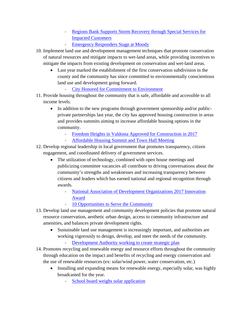- Regions Bank Supports Storm Recovery through Special Services for [Impacted Customers](http://valdostaceo.com/news/2017/01/regions-bank-supports-storm-recovery-through-special-services-impacted-customers/)
	- [Emergency Responders Stage at Moody](http://valdostaceo.com/news/2017/09/emergency-responders-stage-moody/)
- 10. Implement land use and development management techniques that promote conservation of natural resources and mitigate impacts to wet-land areas, while providing incentives to mitigate the impacts from existing development on conservation and wet-land areas.
	- Last year marked the establishment of the first conservation subdivision in the county and the community has since committed to environmentally conscientious land use and development going forward.
		- [City Honored for Commitment to Environment](http://www.valdostacity.com/city-honored-for-commitment-to-environment)
- 11. Provide housing throughout the community that is safe, affordable and accessible to all income levels.
	- In addition to the new programs through government sponsorship and/or publicprivate partnerships last year, the city has approved housing construction in areas and provides summits aiming to increase affordable housing options in the community.
		- [Freedom Heights in Valdosta Approved for Construction in 2017](http://valdostaceo.com/news/2017/03/freedom-heights-valdosta-approved-construction-2017/)
		- [Affordable Housing Summit and Town Hall Meeting](http://www.valdostacity.com/city-hosts-affordable-housing-summit-and-town-hall-meeting-1)
- 12. Develop regional leadership in local government that promotes transparency, citizen engagement, and coordinated delivery of government services.
	- The utilization of technology, combined with open house meetings and publicizing committee vacancies all contribute to driving conversations about the community's strengths and weaknesses and increasing transparency between citizens and leaders which has earned national and regional recognition through awards.
		- [National Association of Development Organizations 2017 Innovation](https://www.nado.org/congratulations-to-the-2017-nado-innovation-award-winners/)  [Award](https://www.nado.org/congratulations-to-the-2017-nado-innovation-award-winners/)
			- [10 Opportunities to Serve the Community](http://www.valdostacity.com/city-announces-10-opportunities-to-serve-the-community)
- 13. Develop land use management and community development policies that promote natural resource conservation, aesthetic urban design, access to community infrastructure and amenities, and balances private development rights.
	- Sustainable land use management is increasingly important, and authorities are working vigorously to design, develop, and meet the needs of the community.
		- [Development Authority working to create strategic plan](http://www.valdostadailytimes.com/news/local_news/development-authority-working-to-create-strategic-plan/article_ce5f69fd-f494-5158-a99f-0dd907869b62.html)
- 14. Promotes recycling and renewable energy and resource efforts throughout the community through education on the impact and benefits of recycling and energy conservation and the use of renewable resources (ex: solar/wind power, water conservation, etc.)
	- Installing and expanding means for renewable energy, especially solar, was highly broadcasted for the year.
		- [School board weighs solar application](http://www.valdostadailytimes.com/news/local_news/school-board-weighs-solar-application/article_54928789-bace-518c-bd06-f7f52c4a948d.html)